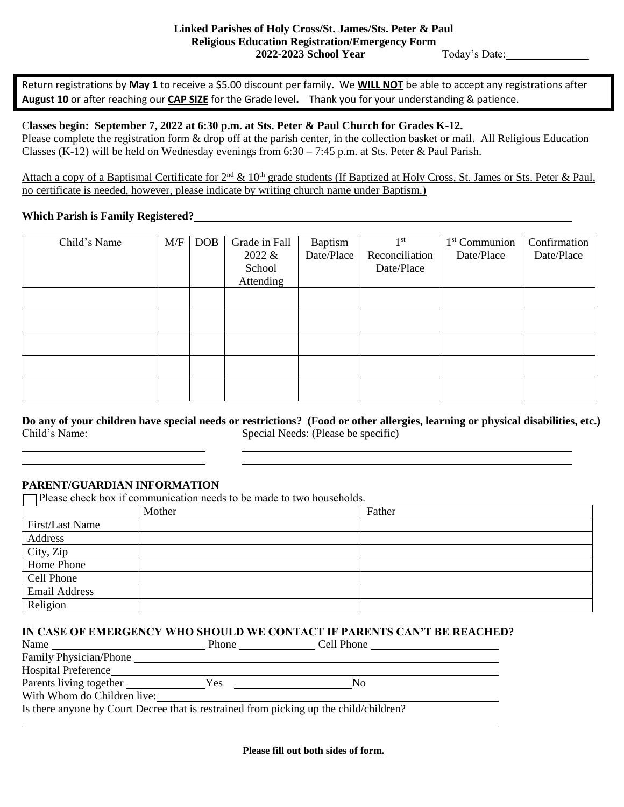Return registrations by **May 1** to receive a \$5.00 discount per family. We **WILL NOT** be able to accept any registrations after **August 10** or after reaching our **CAP SIZE** for the Grade level**.** Thank you for your understanding & patience.

## C**lasses begin: September 7, 2022 at 6:30 p.m. at Sts. Peter & Paul Church for Grades K-12.**

Please complete the registration form & drop off at the parish center, in the collection basket or mail. All Religious Education Classes (K-12) will be held on Wednesday evenings from  $6:30 - 7:45$  p.m. at Sts. Peter & Paul Parish.

Attach a copy of a Baptismal Certificate for  $2^{nd} \& 10^{th}$  grade students (If Baptized at Holy Cross, St. James or Sts. Peter & Paul, no certificate is needed, however, please indicate by writing church name under Baptism.)

## **Which Parish is Family Registered?**

| Child's Name | M/F | <b>DOB</b> | Grade in Fall | Baptism    | 1 <sup>st</sup> | $1st$ Communion | Confirmation |
|--------------|-----|------------|---------------|------------|-----------------|-----------------|--------------|
|              |     |            | 2022 &        | Date/Place | Reconciliation  | Date/Place      | Date/Place   |
|              |     |            | School        |            | Date/Place      |                 |              |
|              |     |            | Attending     |            |                 |                 |              |
|              |     |            |               |            |                 |                 |              |
|              |     |            |               |            |                 |                 |              |
|              |     |            |               |            |                 |                 |              |
|              |     |            |               |            |                 |                 |              |
|              |     |            |               |            |                 |                 |              |
|              |     |            |               |            |                 |                 |              |
|              |     |            |               |            |                 |                 |              |

**Do any of your children have special needs or restrictions? (Food or other allergies, learning or physical disabilities, etc.)** Child's Name: Special Needs: (Please be specific)

# **PARENT/GUARDIAN INFORMATION**

Please check box if communication needs to be made to two households.

|                 | Mother | Father |
|-----------------|--------|--------|
| First/Last Name |        |        |
| Address         |        |        |
| City, Zip       |        |        |
| Home Phone      |        |        |
| Cell Phone      |        |        |
| Email Address   |        |        |
| Religion        |        |        |

### **IN CASE OF EMERGENCY WHO SHOULD WE CONTACT IF PARENTS CAN'T BE REACHED?**

| Name                                                                                   | <b>Phone</b> | Cell Phone |  |  |  |
|----------------------------------------------------------------------------------------|--------------|------------|--|--|--|
| Family Physician/Phone                                                                 |              |            |  |  |  |
| <b>Hospital Preference</b>                                                             |              |            |  |  |  |
| Parents living together                                                                | Yes          | Nο         |  |  |  |
| With Whom do Children live:                                                            |              |            |  |  |  |
| Is there anyone by Court Decree that is restrained from picking up the child/children? |              |            |  |  |  |